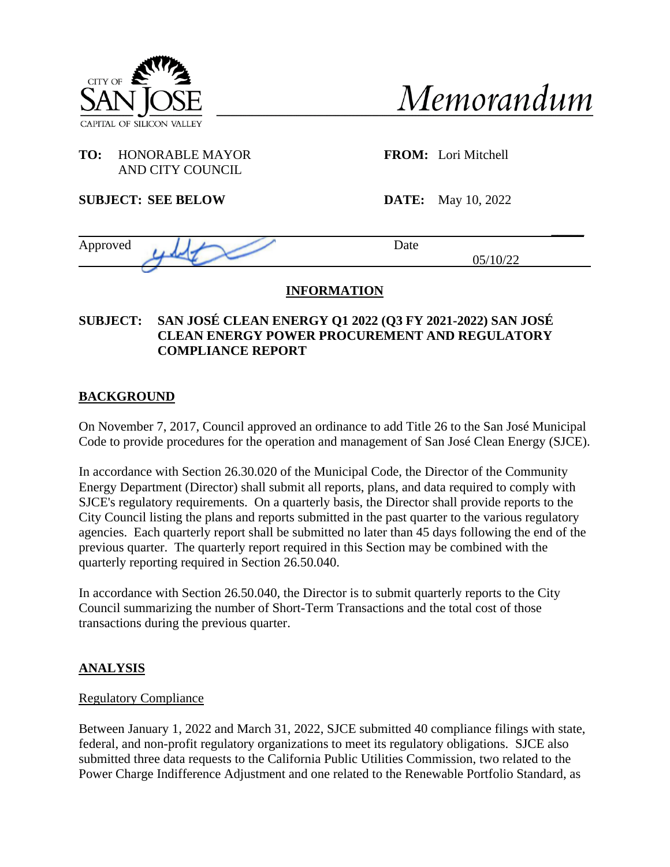



## **TO:** HONORABLE MAYOR **FROM:** Lori Mitchell AND CITY COUNCIL

**SUBJECT: SEE BELOW DATE:** May 10, 2022

| Approved | Date        |
|----------|-------------|
|          | 10/22<br>∠∠ |
|          |             |

# **INFORMATION**

## **SUBJECT: SAN JOSÉ CLEAN ENERGY Q1 2022 (Q3 FY 2021-2022) SAN JOSÉ CLEAN ENERGY POWER PROCUREMENT AND REGULATORY COMPLIANCE REPORT**

# **BACKGROUND**

On November 7, 2017, Council approved an ordinance to add Title 26 to the San José Municipal Code to provide procedures for the operation and management of San José Clean Energy (SJCE).

In accordance with Section 26.30.020 of the Municipal Code, the Director of the Community Energy Department (Director) shall submit all reports, plans, and data required to comply with SJCE's regulatory requirements. On a quarterly basis, the Director shall provide reports to the City Council listing the plans and reports submitted in the past quarter to the various regulatory agencies. Each quarterly report shall be submitted no later than 45 days following the end of the previous quarter. The quarterly report required in this Section may be combined with the quarterly reporting required in Section 26.50.040.

In accordance with Section 26.50.040, the Director is to submit quarterly reports to the City Council summarizing the number of Short-Term Transactions and the total cost of those transactions during the previous quarter.

# **ANALYSIS**

## Regulatory Compliance

Between January 1, 2022 and March 31, 2022, SJCE submitted 40 compliance filings with state, federal, and non-profit regulatory organizations to meet its regulatory obligations. SJCE also submitted three data requests to the California Public Utilities Commission, two related to the Power Charge Indifference Adjustment and one related to the Renewable Portfolio Standard, as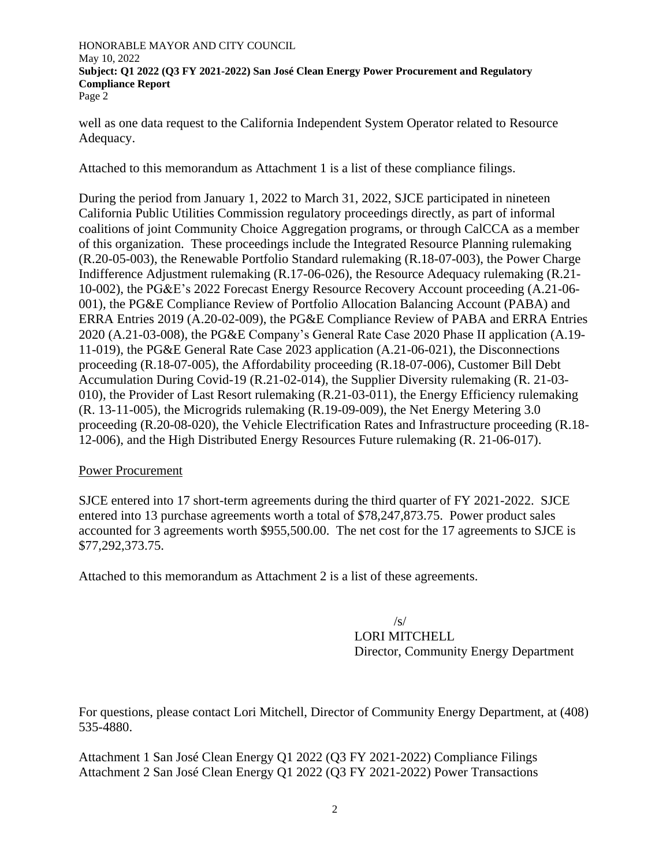HONORABLE MAYOR AND CITY COUNCIL May 10, 2022 **Subject: Q1 2022 (Q3 FY 2021-2022) San José Clean Energy Power Procurement and Regulatory Compliance Report** Page 2

well as one data request to the California Independent System Operator related to Resource Adequacy.

Attached to this memorandum as Attachment 1 is a list of these compliance filings.

During the period from January 1, 2022 to March 31, 2022, SJCE participated in nineteen California Public Utilities Commission regulatory proceedings directly, as part of informal coalitions of joint Community Choice Aggregation programs, or through CalCCA as a member of this organization. These proceedings include the Integrated Resource Planning rulemaking (R.20-05-003), the Renewable Portfolio Standard rulemaking (R.18-07-003), the Power Charge Indifference Adjustment rulemaking (R.17-06-026), the Resource Adequacy rulemaking (R.21- 10-002), the PG&E's 2022 Forecast Energy Resource Recovery Account proceeding (A.21-06- 001), the PG&E Compliance Review of Portfolio Allocation Balancing Account (PABA) and ERRA Entries 2019 (A.20-02-009), the PG&E Compliance Review of PABA and ERRA Entries 2020 (A.21-03-008), the PG&E Company's General Rate Case 2020 Phase II application (A.19- 11-019), the PG&E General Rate Case 2023 application (A.21-06-021), the Disconnections proceeding (R.18-07-005), the Affordability proceeding (R.18-07-006), Customer Bill Debt Accumulation During Covid-19 (R.21-02-014), the Supplier Diversity rulemaking (R. 21-03- 010), the Provider of Last Resort rulemaking (R.21-03-011), the Energy Efficiency rulemaking (R. 13-11-005), the Microgrids rulemaking (R.19-09-009), the Net Energy Metering 3.0 proceeding (R.20-08-020), the Vehicle Electrification Rates and Infrastructure proceeding (R.18- 12-006), and the High Distributed Energy Resources Future rulemaking (R. 21-06-017).

### Power Procurement

SJCE entered into 17 short-term agreements during the third quarter of FY 2021-2022. SJCE entered into 13 purchase agreements worth a total of \$78,247,873.75. Power product sales accounted for 3 agreements worth \$955,500.00. The net cost for the 17 agreements to SJCE is \$77,292,373.75.

Attached to this memorandum as Attachment 2 is a list of these agreements.

/s/

LORI MITCHELL Director, Community Energy Department

For questions, please contact Lori Mitchell, Director of Community Energy Department, at (408) 535-4880.

Attachment 1 San José Clean Energy Q1 2022 (Q3 FY 2021-2022) Compliance Filings Attachment 2 San José Clean Energy Q1 2022 (Q3 FY 2021-2022) Power Transactions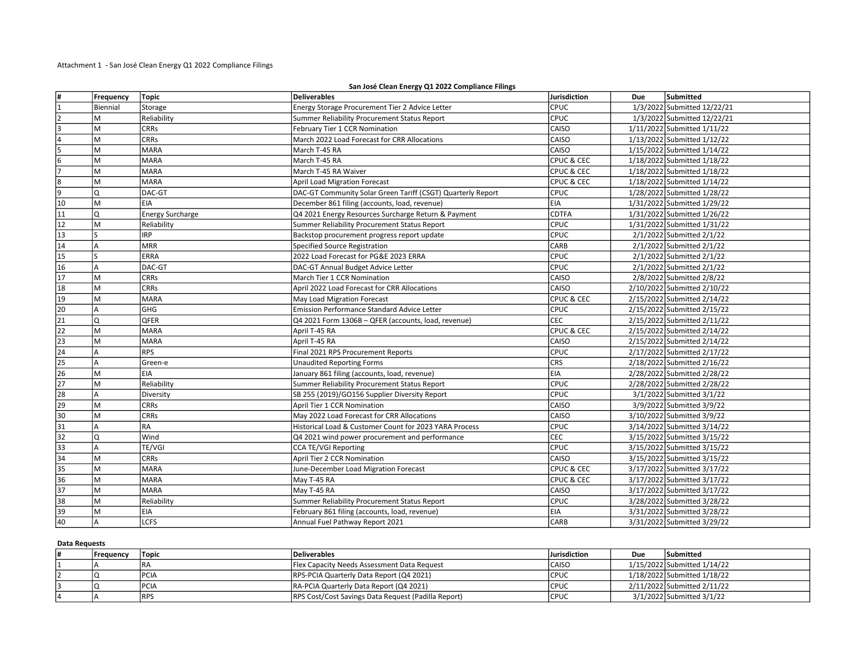Attachment 1 - San José Clean Energy Q1 2022 Compliance Filings

#### San José Clean Energy Q1 2022 Compliance Filings

| #               | Frequency | Topic                   | Deliverables                                                | Jurisdiction          | <b>Due</b> | Submitted                   |
|-----------------|-----------|-------------------------|-------------------------------------------------------------|-----------------------|------------|-----------------------------|
| 1               | Biennial  | Storage                 | Energy Storage Procurement Tier 2 Advice Letter             | CPUC                  |            | 1/3/2022 Submitted 12/22/21 |
| $\overline{2}$  | M         | Reliability             | Summer Reliability Procurement Status Report                | CPUC                  |            | 1/3/2022 Submitted 12/22/21 |
| 3               | M         | <b>CRRs</b>             | February Tier 1 CCR Nomination                              | CAISO                 |            | 1/11/2022 Submitted 1/11/22 |
| 4               | M         | <b>CRRs</b>             | March 2022 Load Forecast for CRR Allocations                | CAISO                 |            | 1/13/2022 Submitted 1/12/22 |
| 5               | M         | <b>MARA</b>             | March T-45 RA                                               | CAISO                 |            | 1/15/2022 Submitted 1/14/22 |
| $\overline{6}$  | M         | İMARA                   | March T-45 RA                                               | <b>CPUC &amp; CEC</b> |            | 1/18/2022 Submitted 1/18/22 |
| 7               | M         | <b>MARA</b>             | March T-45 RA Waiver                                        | <b>CPUC &amp; CEC</b> |            | 1/18/2022 Submitted 1/18/22 |
| $\overline{8}$  | M         | Imara                   | <b>April Load Migration Forecast</b>                        | <b>CPUC &amp; CEC</b> |            | 1/18/2022 Submitted 1/14/22 |
| 9               | Q         | DAC-GT                  | DAC-GT Community Solar Green Tariff (CSGT) Quarterly Report | <b>CPUC</b>           |            | 1/28/2022 Submitted 1/28/22 |
| 10              | M         | EIA                     | December 861 filing (accounts, load, revenue)               | EIA                   |            | 1/31/2022 Submitted 1/29/22 |
| 11              | I۵        | <b>Energy Surcharge</b> | Q4 2021 Energy Resources Surcharge Return & Payment         | <b>CDTFA</b>          |            | 1/31/2022 Submitted 1/26/22 |
| 12              | M         | Reliability             | Summer Reliability Procurement Status Report                | CPUC                  |            | 1/31/2022 Submitted 1/31/22 |
| 13              | ls.       | <b>IRP</b>              | Backstop procurement progress report update                 | CPUC                  |            | 2/1/2022 Submitted 2/1/22   |
| 14              | A         | <b>MRR</b>              | <b>Specified Source Registration</b>                        | CARB                  |            | 2/1/2022 Submitted 2/1/22   |
| $\overline{15}$ | S         | ERRA                    | 2022 Load Forecast for PG&E 2023 ERRA                       | CPUC                  |            | 2/1/2022 Submitted 2/1/22   |
| 16              | A         | DAC-GT                  | DAC-GT Annual Budget Advice Letter                          | CPUC                  |            | 2/1/2022 Submitted 2/1/22   |
| 17              | M         | <b>CRRs</b>             | March Tier 1 CCR Nomination                                 | CAISO                 |            | 2/8/2022 Submitted 2/8/22   |
| 18              | lм        | <b>CRRs</b>             | April 2022 Load Forecast for CRR Allocations                | CAISO                 |            | 2/10/2022 Submitted 2/10/22 |
| $\overline{19}$ | lм        | <b>MARA</b>             | May Load Migration Forecast                                 | <b>CPUC &amp; CEC</b> |            | 2/15/2022 Submitted 2/14/22 |
| 20              | A         | GHG                     | Emission Performance Standard Advice Letter                 | CPUC                  |            | 2/15/2022 Submitted 2/15/22 |
| $\overline{21}$ | IQ        | QFER                    | Q4 2021 Form 1306B - QFER (accounts, load, revenue)         | CEC                   |            | 2/15/2022 Submitted 2/11/22 |
| 22              | M         | <b>MARA</b>             | April T-45 RA                                               | <b>CPUC &amp; CEC</b> |            | 2/15/2022 Submitted 2/14/22 |
| $\overline{23}$ | M         | <b>MARA</b>             | April T-45 RA                                               | CAISO                 |            | 2/15/2022 Submitted 2/14/22 |
| $\overline{24}$ | A         | <b>RPS</b>              | Final 2021 RPS Procurement Reports                          | CPUC                  |            | 2/17/2022 Submitted 2/17/22 |
| $\overline{25}$ | A         | Green-e                 | <b>Unaudited Reporting Forms</b>                            | <b>CRS</b>            |            | 2/18/2022 Submitted 2/16/22 |
| $\overline{26}$ | M         | EIA                     | January 861 filing (accounts, load, revenue)                | EIA                   |            | 2/28/2022 Submitted 2/28/22 |
| $\overline{27}$ | lм        | Reliability             | Summer Reliability Procurement Status Report                | CPUC                  |            | 2/28/2022 Submitted 2/28/22 |
| $\overline{28}$ | A         | Diversity               | SB 255 (2019)/GO156 Supplier Diversity Report               | CPUC                  |            | 3/1/2022 Submitted 3/1/22   |
| 29              | M         | <b>CRRs</b>             | April Tier 1 CCR Nomination                                 | CAISO                 |            | 3/9/2022 Submitted 3/9/22   |
| 30              | lм        | <b>CRRs</b>             | May 2022 Load Forecast for CRR Allocations                  | CAISO                 |            | 3/10/2022 Submitted 3/9/22  |
| $\overline{31}$ | A         | l RA                    | Historical Load & Customer Count for 2023 YARA Process      | CPUC                  |            | 3/14/2022 Submitted 3/14/22 |
| $\overline{32}$ | lQ        | Wind                    | Q4 2021 wind power procurement and performance              | CEC                   |            | 3/15/2022 Submitted 3/15/22 |
| $\overline{33}$ | A         | TE/VGI                  | <b>CCA TE/VGI Reporting</b>                                 | CPUC                  |            | 3/15/2022 Submitted 3/15/22 |
| $\overline{34}$ | M         | <b>CRRs</b>             | April Tier 2 CCR Nomination                                 | CAISO                 |            | 3/15/2022 Submitted 3/15/22 |
| 35              | lм        | <b>MARA</b>             | June-December Load Migration Forecast                       | <b>CPUC &amp; CEC</b> |            | 3/17/2022 Submitted 3/17/22 |
| 36              | lм        | Imara                   | May T-45 RA                                                 | <b>CPUC &amp; CEC</b> |            | 3/17/2022 Submitted 3/17/22 |
| $\overline{37}$ | M         | <b>MARA</b>             | May T-45 RA                                                 | CAISO                 |            | 3/17/2022 Submitted 3/17/22 |
| 38              | lм        | Reliability             | Summer Reliability Procurement Status Report                | CPUC                  |            | 3/28/2022 Submitted 3/28/22 |
| 39              | M         | EIA                     | February 861 filing (accounts, load, revenue)               | EIA                   |            | 3/31/2022 Submitted 3/28/22 |
| 40              | A         | <b>LCFS</b>             | Annual Fuel Pathway Report 2021                             | CARB                  |            | 3/31/2022 Submitted 3/29/22 |

#### Data Requests

| I# | Frequency | Topic        | Deliverables                                        | Jurisdiction | Due | Submitted                   |
|----|-----------|--------------|-----------------------------------------------------|--------------|-----|-----------------------------|
|    |           | l R A        | <b>Flex Capacity Needs Assessment Data Request</b>  | l CAISO      |     | 1/15/2022 Submitted 1/14/22 |
|    |           | <b>IPCIA</b> | RPS-PCIA Quarterly Data Report (Q4 2021)            | <b>CPUC</b>  |     | 1/18/2022 Submitted 1/18/22 |
|    |           | IPCIA        | RA-PCIA Quarterly Data Report (Q4 2021)             | lcpuc        |     | 2/11/2022 Submitted 2/11/22 |
|    |           | <b>IRPS</b>  | RPS Cost/Cost Savings Data Request (Padilla Report) | <b>CPUC</b>  |     | 3/1/2022 Submitted 3/1/22   |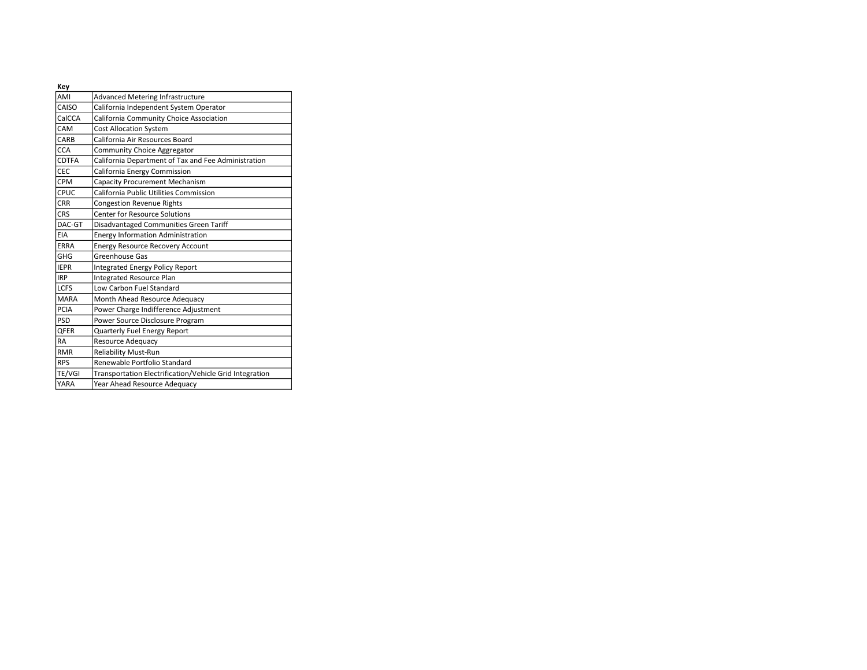| Key          |                                                         |
|--------------|---------------------------------------------------------|
| AMI          | <b>Advanced Metering Infrastructure</b>                 |
| CAISO        | California Independent System Operator                  |
| CalCCA       | California Community Choice Association                 |
| CAM          | <b>Cost Allocation System</b>                           |
| CARB         | California Air Resources Board                          |
| <b>CCA</b>   | <b>Community Choice Aggregator</b>                      |
| <b>CDTFA</b> | California Department of Tax and Fee Administration     |
| <b>CEC</b>   | California Energy Commission                            |
| CPM          | <b>Capacity Procurement Mechanism</b>                   |
| CPUC         | California Public Utilities Commission                  |
| CRR          | <b>Congestion Revenue Rights</b>                        |
| CRS          | <b>Center for Resource Solutions</b>                    |
| DAC-GT       | Disadvantaged Communities Green Tariff                  |
| EIA          | <b>Energy Information Administration</b>                |
| ERRA         | <b>Energy Resource Recovery Account</b>                 |
| GHG          | Greenhouse Gas                                          |
| <b>IEPR</b>  | Integrated Energy Policy Report                         |
| <b>IRP</b>   | <b>Integrated Resource Plan</b>                         |
| <b>LCFS</b>  | Low Carbon Fuel Standard                                |
| MARA         | Month Ahead Resource Adequacy                           |
| PCIA         | Power Charge Indifference Adjustment                    |
| PSD          | Power Source Disclosure Program                         |
| QFER         | Quarterly Fuel Energy Report                            |
| RA           | <b>Resource Adequacy</b>                                |
| <b>RMR</b>   | <b>Reliability Must-Run</b>                             |
| <b>RPS</b>   | Renewable Portfolio Standard                            |
| TE/VGI       | Transportation Electrification/Vehicle Grid Integration |
| <b>YARA</b>  | Year Ahead Resource Adequacy                            |